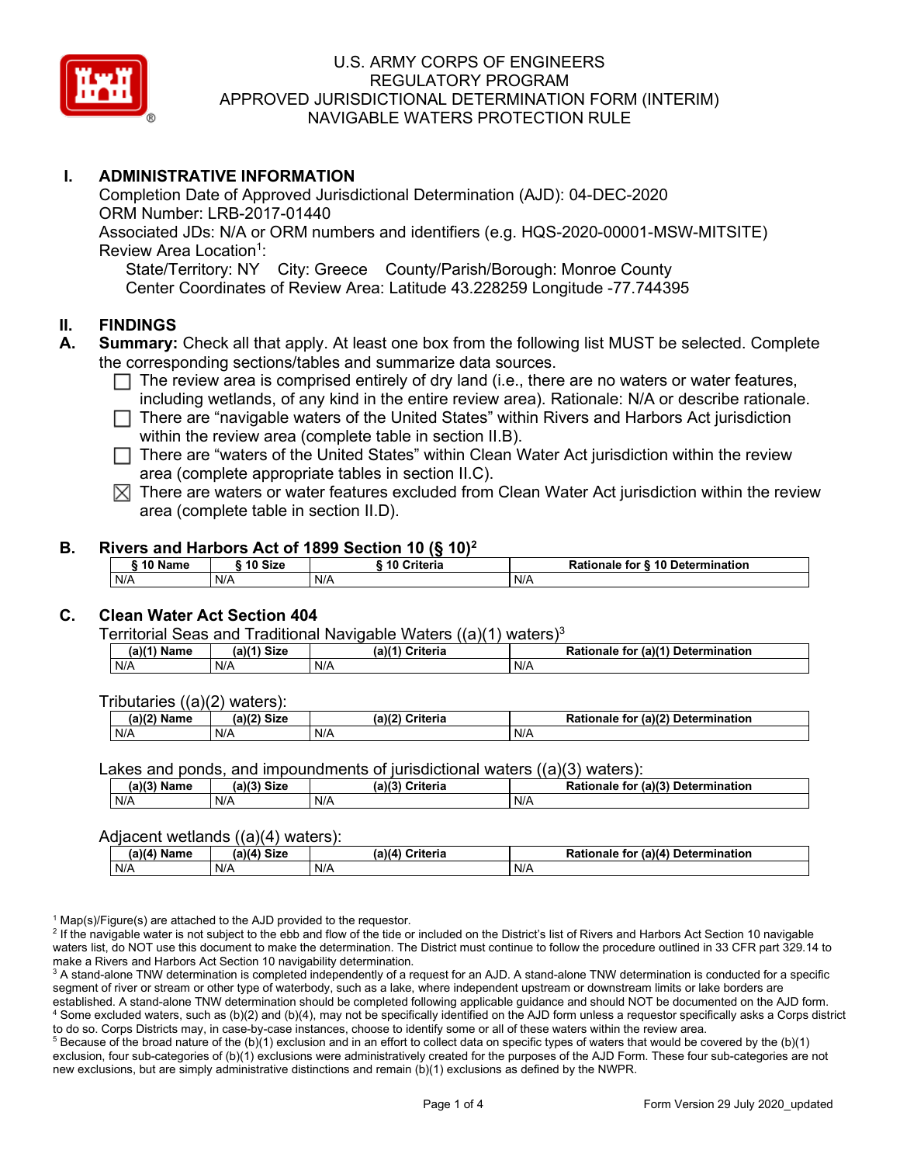

## **I. ADMINISTRATIVE INFORMATION**

Completion Date of Approved Jurisdictional Determination (AJD): 04-DEC-2020 ORM Number: LRB-2017-01440 Associated JDs: N/A or ORM numbers and identifiers (e.g. HQS-2020-00001-MSW-MITSITE) Review Area Location<sup>1</sup>: State/Territory: NY City: Greece County/Parish/Borough: Monroe County

Center Coordinates of Review Area: Latitude 43.228259 Longitude -77.744395

### **II. FINDINGS**

- **A. Summary:** Check all that apply. At least one box from the following list MUST be selected. Complete the corresponding sections/tables and summarize data sources.
	- $\Box$  The review area is comprised entirely of dry land (i.e., there are no waters or water features, including wetlands, of any kind in the entire review area). Rationale: N/A or describe rationale.
	- There are "navigable waters of the United States" within Rivers and Harbors Act jurisdiction within the review area (complete table in section II.B).
	- $\Box$  There are "waters of the United States" within Clean Water Act jurisdiction within the review area (complete appropriate tables in section II.C).
	- $\boxtimes$  There are waters or water features excluded from Clean Water Act jurisdiction within the review area (complete table in section II.D).

#### **B. Rivers and Harbors Act of 1899 Section 10 (§ 10)2**

| <b><i>AA</i> AI</b><br>Name | 10 Size | <b>Criteria</b> | ↑ for <b>§ 10 Determination</b><br>Rationale |  |  |  |  |  |
|-----------------------------|---------|-----------------|----------------------------------------------|--|--|--|--|--|
| N/A                         | N/A     | N/A             | N/A                                          |  |  |  |  |  |

### **C. Clean Water Act Section 404**

Territorial Seas and Traditional Navigable Waters  $((a)(1)$  waters)<sup>3</sup>

| Name<br>a) | <b>Size</b><br>01/41 | $(a)$ $(4)$<br>Criteria | $ur$ (a) $(4)$<br><b>Determination</b><br>Rationale<br>tor |
|------------|----------------------|-------------------------|------------------------------------------------------------|
| N/A        | N/A                  | N/A                     | N/A                                                        |

Tributaries ((a)(2) waters):

| $(a)$ ( $\degree$<br>Name | $\sim$ $\sim$<br>C <sub>1</sub><br>JIZE<br>,,, | (a)(2)<br>Criteria | (a)(2) Determination<br>Dational<br>tor<br>nale<br>тіг |
|---------------------------|------------------------------------------------|--------------------|--------------------------------------------------------|
| N/A                       | N/A                                            | N/A                | N/A                                                    |

Lakes and ponds, and impoundments of jurisdictional waters ((a)(3) waters):

| $(a)(3)$ $^{\prime\prime}$ | $(a)(3)$ Size | (a)(?')  | for (a)(3) Determination |
|----------------------------|---------------|----------|--------------------------|
| Name                       |               | Criteria | Rationale                |
| N/A                        | N/A           | N/A      | N/A                      |

#### Adjacent wetlands ((a)(4) waters):

| .             |             |                           |                                    |  |
|---------------|-------------|---------------------------|------------------------------------|--|
| $(a)(4)$ Name | (a)(4) Size | (a)(4)<br><b>Criteria</b> | Rationale for (a)(4) Determination |  |
| N/A           | N/A         | N/A                       | N/A                                |  |

<sup>1</sup> Map(s)/Figure(s) are attached to the AJD provided to the requestor.<br><sup>2</sup> If the navigable water is not subject to the ebb and flow of the tide or included on the District's list of Rivers and Harbors Act Section 10 nav waters list, do NOT use this document to make the determination. The District must continue to follow the procedure outlined in 33 CFR part 329.14 to make a Rivers and Harbors Act Section 10 navigability determination.

<sup>3</sup> A stand-alone TNW determination is completed independently of a request for an AJD. A stand-alone TNW determination is conducted for a specific segment of river or stream or other type of waterbody, such as a lake, where independent upstream or downstream limits or lake borders are established. A stand-alone TNW determination should be completed following applicable guidance and should NOT be documented on the AJD form. <sup>4</sup> Some excluded waters, such as (b)(2) and (b)(4), may not be specifically identified on the AJD form unless a requestor specifically asks a Corps district to do so. Corps Districts may, in case-by-case instances, choose to identify some or all of these waters within the review area.

 $5$  Because of the broad nature of the (b)(1) exclusion and in an effort to collect data on specific types of waters that would be covered by the (b)(1) exclusion, four sub-categories of (b)(1) exclusions were administratively created for the purposes of the AJD Form. These four sub-categories are not new exclusions, but are simply administrative distinctions and remain (b)(1) exclusions as defined by the NWPR.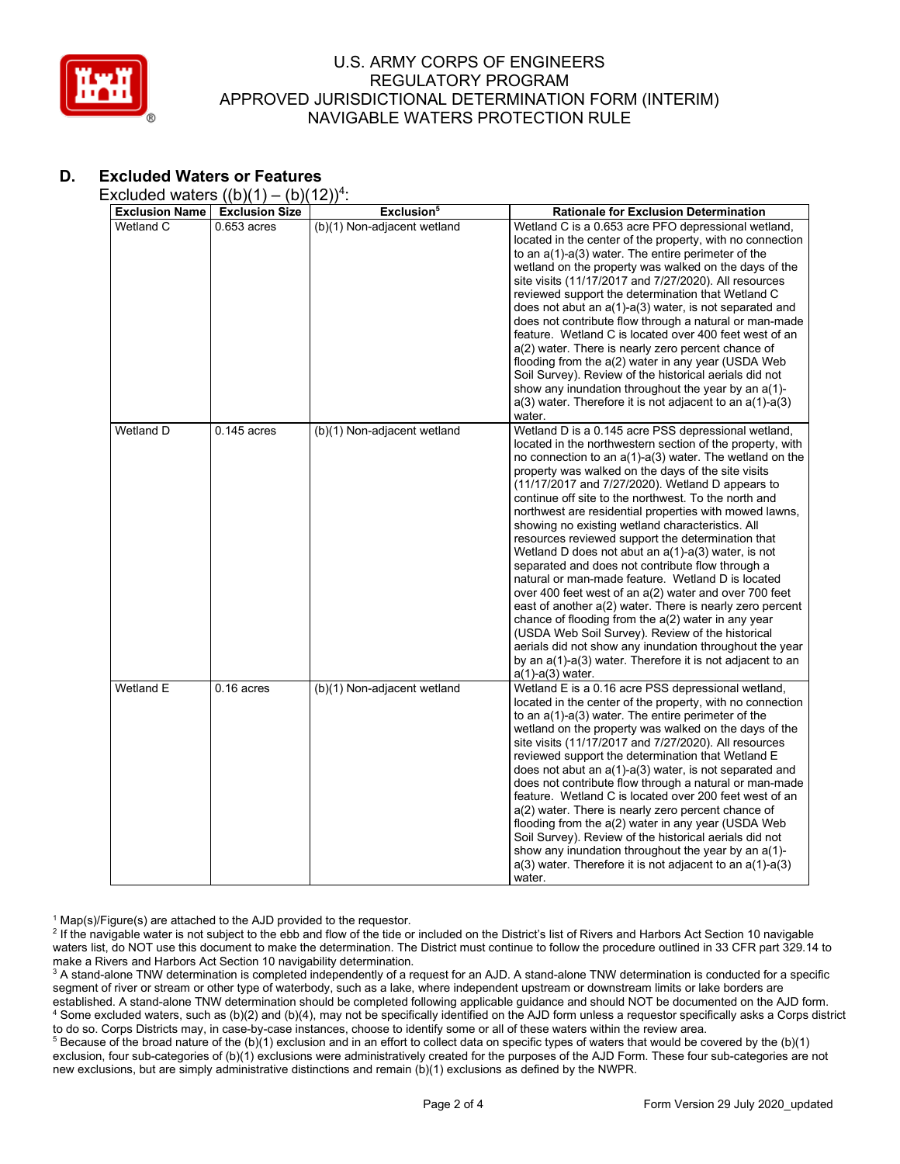

# **D. Excluded Waters or Features**

Excluded waters  $((b)(1) - (b)(12))^4$ :

| <b>Exclusion Name</b> | <b>Exclusion Size</b> | Exclusion <sup>5</sup>      | <b>Rationale for Exclusion Determination</b>                                                                                                                                                                                                                                                                                                                                                                                                                                                                                                                                                                                                                                                                                                                                                                                                                                                                                                                                                                                                                             |
|-----------------------|-----------------------|-----------------------------|--------------------------------------------------------------------------------------------------------------------------------------------------------------------------------------------------------------------------------------------------------------------------------------------------------------------------------------------------------------------------------------------------------------------------------------------------------------------------------------------------------------------------------------------------------------------------------------------------------------------------------------------------------------------------------------------------------------------------------------------------------------------------------------------------------------------------------------------------------------------------------------------------------------------------------------------------------------------------------------------------------------------------------------------------------------------------|
| Wetland C             | $0.653$ acres         | (b)(1) Non-adjacent wetland | Wetland C is a 0.653 acre PFO depressional wetland,<br>located in the center of the property, with no connection<br>to an $a(1)$ - $a(3)$ water. The entire perimeter of the<br>wetland on the property was walked on the days of the<br>site visits (11/17/2017 and 7/27/2020). All resources<br>reviewed support the determination that Wetland C<br>does not abut an $a(1)$ - $a(3)$ water, is not separated and<br>does not contribute flow through a natural or man-made<br>feature. Wetland C is located over 400 feet west of an<br>a(2) water. There is nearly zero percent chance of<br>flooding from the $a(2)$ water in any year (USDA Web<br>Soil Survey). Review of the historical aerials did not<br>show any inundation throughout the year by an a(1)-<br>$a(3)$ water. Therefore it is not adjacent to an $a(1)-a(3)$<br>water.                                                                                                                                                                                                                         |
| Wetland D             | $0.145$ acres         | (b)(1) Non-adjacent wetland | Wetland D is a 0.145 acre PSS depressional wetland,<br>located in the northwestern section of the property, with<br>no connection to an $a(1)-a(3)$ water. The wetland on the<br>property was walked on the days of the site visits<br>(11/17/2017 and 7/27/2020). Wetland D appears to<br>continue off site to the northwest. To the north and<br>northwest are residential properties with mowed lawns,<br>showing no existing wetland characteristics. All<br>resources reviewed support the determination that<br>Wetland D does not abut an $a(1)$ - $a(3)$ water, is not<br>separated and does not contribute flow through a<br>natural or man-made feature. Wetland D is located<br>over 400 feet west of an a(2) water and over 700 feet<br>east of another a(2) water. There is nearly zero percent<br>chance of flooding from the a(2) water in any year<br>(USDA Web Soil Survey). Review of the historical<br>aerials did not show any inundation throughout the year<br>by an a(1)-a(3) water. Therefore it is not adjacent to an<br>$a(1)$ - $a(3)$ water. |
| Wetland E             | $0.16$ acres          | (b)(1) Non-adjacent wetland | Wetland E is a 0.16 acre PSS depressional wetland,<br>located in the center of the property, with no connection<br>to an a(1)-a(3) water. The entire perimeter of the<br>wetland on the property was walked on the days of the<br>site visits (11/17/2017 and 7/27/2020). All resources<br>reviewed support the determination that Wetland E<br>does not abut an a(1)-a(3) water, is not separated and<br>does not contribute flow through a natural or man-made<br>feature. Wetland C is located over 200 feet west of an<br>a(2) water. There is nearly zero percent chance of<br>flooding from the a(2) water in any year (USDA Web<br>Soil Survey). Review of the historical aerials did not<br>show any inundation throughout the year by an a(1)-<br>$a(3)$ water. Therefore it is not adjacent to an $a(1)$ -a(3)<br>water.                                                                                                                                                                                                                                       |

<sup>1</sup> Map(s)/Figure(s) are attached to the AJD provided to the requestor.<br><sup>2</sup> If the navigable water is not subject to the ebb and flow of the tide or included on the District's list of Rivers and Harbors Act Section 10 nav waters list, do NOT use this document to make the determination. The District must continue to follow the procedure outlined in 33 CFR part 329.14 to make a Rivers and Harbors Act Section 10 navigability determination.

<sup>3</sup> A stand-alone TNW determination is completed independently of a request for an AJD. A stand-alone TNW determination is conducted for a specific segment of river or stream or other type of waterbody, such as a lake, where independent upstream or downstream limits or lake borders are established. A stand-alone TNW determination should be completed following applicable guidance and should NOT be documented on the AJD form. <sup>4</sup> Some excluded waters, such as (b)(2) and (b)(4), may not be specifically identified on the AJD form unless a requestor specifically asks a Corps district to do so. Corps Districts may, in case-by-case instances, choose to identify some or all of these waters within the review area.

<sup>5</sup> Because of the broad nature of the (b)(1) exclusion and in an effort to collect data on specific types of waters that would be covered by the (b)(1) exclusion, four sub-categories of (b)(1) exclusions were administratively created for the purposes of the AJD Form. These four sub-categories are not new exclusions, but are simply administrative distinctions and remain (b)(1) exclusions as defined by the NWPR.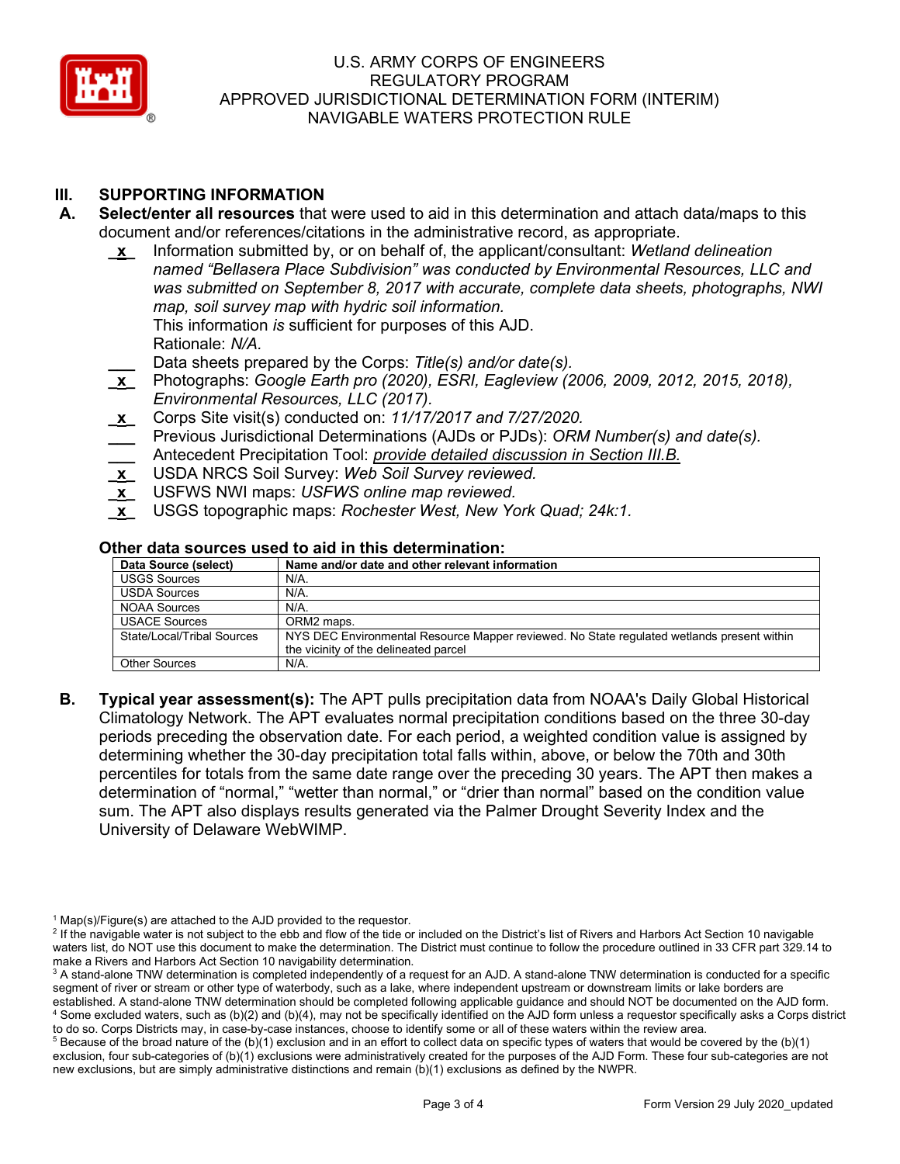

# **III. SUPPORTING INFORMATION**

- **A. Select/enter all resources** that were used to aid in this determination and attach data/maps to this document and/or references/citations in the administrative record, as appropriate.
	- **\_x\_** Information submitted by, or on behalf of, the applicant/consultant: *Wetland delineation named "Bellasera Place Subdivision" was conducted by Environmental Resources, LLC and was submitted on September 8, 2017 with accurate, complete data sheets, photographs, NWI map, soil survey map with hydric soil information.* This information *is* sufficient for purposes of this AJD. Rationale: *N/A.*
		- **\_\_\_** Data sheets prepared by the Corps: *Title(s) and/or date(s).*
	- **\_x\_** Photographs: *Google Earth pro (2020), ESRI, Eagleview (2006, 2009, 2012, 2015, 2018), Environmental Resources, LLC (2017).*
	- **\_x\_** Corps Site visit(s) conducted on: *11/17/2017 and 7/27/2020.*
	- **\_\_\_** Previous Jurisdictional Determinations (AJDs or PJDs): *ORM Number(s) and date(s).* **\_\_\_** Antecedent Precipitation Tool: *provide detailed discussion in Section III.B.*
	- **\_x\_** USDA NRCS Soil Survey: *Web Soil Survey reviewed.*
	- **\_x\_** USFWS NWI maps: *USFWS online map reviewed.*
	- **\_x\_** USGS topographic maps: *Rochester West, New York Quad; 24k:1.*

#### **Other data sources used to aid in this determination:**

| Data Source (select)       | Name and/or date and other relevant information                                            |  |  |  |  |
|----------------------------|--------------------------------------------------------------------------------------------|--|--|--|--|
| <b>USGS Sources</b>        | $N/A$ .                                                                                    |  |  |  |  |
| <b>USDA Sources</b>        | N/A.                                                                                       |  |  |  |  |
| <b>NOAA Sources</b>        | $N/A$ .                                                                                    |  |  |  |  |
| <b>USACE Sources</b>       | ORM2 maps.                                                                                 |  |  |  |  |
| State/Local/Tribal Sources | NYS DEC Environmental Resource Mapper reviewed. No State regulated wetlands present within |  |  |  |  |
|                            | the vicinity of the delineated parcel                                                      |  |  |  |  |
| <b>Other Sources</b>       | $N/A$ .                                                                                    |  |  |  |  |

**B. Typical year assessment(s):** The APT pulls precipitation data from NOAA's Daily Global Historical Climatology Network. The APT evaluates normal precipitation conditions based on the three 30-day periods preceding the observation date. For each period, a weighted condition value is assigned by determining whether the 30-day precipitation total falls within, above, or below the 70th and 30th percentiles for totals from the same date range over the preceding 30 years. The APT then makes a determination of "normal," "wetter than normal," or "drier than normal" based on the condition value sum. The APT also displays results generated via the Palmer Drought Severity Index and the University of Delaware WebWIMP.

<sup>&</sup>lt;sup>1</sup> Map(s)/Figure(s) are attached to the AJD provided to the requestor.<br><sup>2</sup> If the navigable water is not subject to the ebb and flow of the tide or included on the District's list of Rivers and Harbors Act Section 10 nav waters list, do NOT use this document to make the determination. The District must continue to follow the procedure outlined in 33 CFR part 329.14 to make a Rivers and Harbors Act Section 10 navigability determination.

<sup>&</sup>lt;sup>3</sup> A stand-alone TNW determination is completed independently of a request for an AJD. A stand-alone TNW determination is conducted for a specific segment of river or stream or other type of waterbody, such as a lake, where independent upstream or downstream limits or lake borders are established. A stand-alone TNW determination should be completed following applicable guidance and should NOT be documented on the AJD form. <sup>4</sup> Some excluded waters, such as (b)(2) and (b)(4), may not be specifically identified on the AJD form unless a requestor specifically asks a Corps district

to do so. Corps Districts may, in case-by-case instances, choose to identify some or all of these waters within the review area.  $5$  Because of the broad nature of the (b)(1) exclusion and in an effort to collect data on specific types of waters that would be covered by the (b)(1) exclusion, four sub-categories of (b)(1) exclusions were administratively created for the purposes of the AJD Form. These four sub-categories are not new exclusions, but are simply administrative distinctions and remain (b)(1) exclusions as defined by the NWPR.